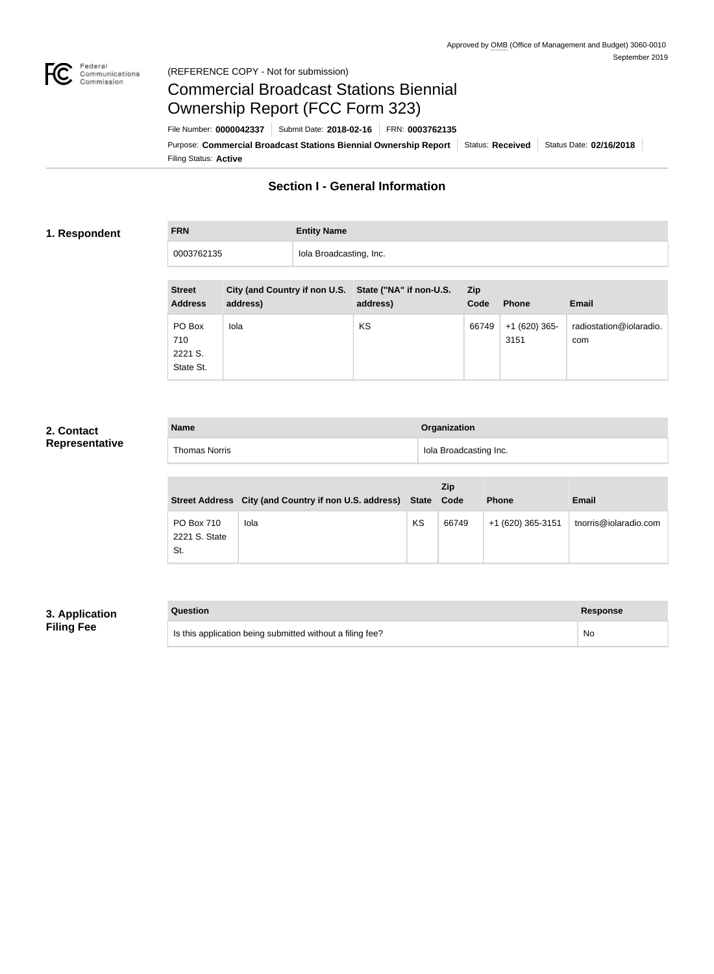

### Federal<br>Communications<br>Commission (REFERENCE COPY - Not for submission)

# Commercial Broadcast Stations Biennial Ownership Report (FCC Form 323)

Filing Status: **Active** Purpose: Commercial Broadcast Stations Biennial Ownership Report Status: Received Status Date: 02/16/2018 File Number: **0000042337** Submit Date: **2018-02-16** FRN: **0003762135**

## **Section I - General Information**

### **1. Respondent**

# **FRN Entity Name** 0003762135 **Iola Broadcasting, Inc.**

| <b>Street</b><br><b>Address</b>       | City (and Country if non U.S. State ("NA" if non-U.S.<br>address) | address) | <b>Zip</b><br>Code | <b>Phone</b>           | <b>Email</b>                   |
|---------------------------------------|-------------------------------------------------------------------|----------|--------------------|------------------------|--------------------------------|
| PO Box<br>710<br>2221 S.<br>State St. | Iola                                                              | KS       | 66749              | $+1(620)365$ -<br>3151 | radiostation@iolaradio.<br>com |

### **2. Contact Representative**

| <b>Name</b> |                      | Organization           |  |
|-------------|----------------------|------------------------|--|
|             | <b>Thomas Norris</b> | Iola Broadcasting Inc. |  |

|                                    | Street Address City (and Country if non U.S. address) State |    | <b>Zip</b><br>Code | <b>Phone</b>      | <b>Email</b>          |
|------------------------------------|-------------------------------------------------------------|----|--------------------|-------------------|-----------------------|
| PO Box 710<br>2221 S. State<br>St. | Iola                                                        | KS | 66749              | +1 (620) 365-3151 | tnorris@iolaradio.com |

## **3. Application Filing Fee**

| Question                                                  | Response  |
|-----------------------------------------------------------|-----------|
| Is this application being submitted without a filing fee? | <b>No</b> |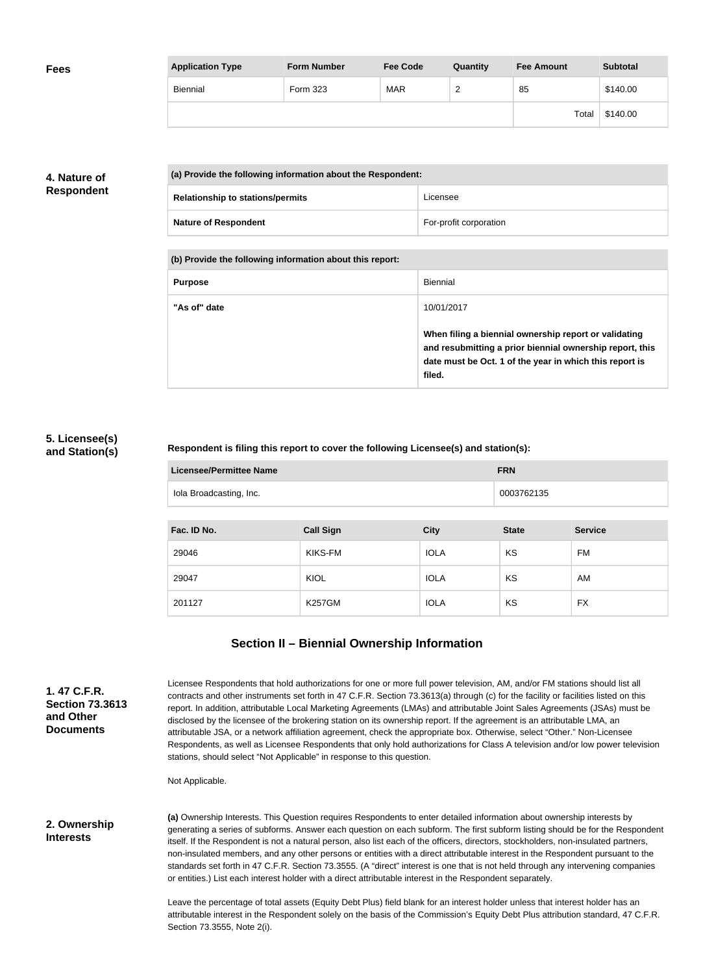| <b>Fees</b> | <b>Application Type</b> | <b>Form Number</b> | <b>Fee Code</b> | Quantity | <b>Fee Amount</b> | <b>Subtotal</b> |
|-------------|-------------------------|--------------------|-----------------|----------|-------------------|-----------------|
|             | <b>Biennial</b>         | Form 323           | <b>MAR</b>      | <u>_</u> | 85                | \$140.00        |
|             |                         |                    |                 |          | Total             | \$140.00        |

## **4. Nature of Respondent**

|  | (a) Provide the following information about the Respondent: |                        |  |
|--|-------------------------------------------------------------|------------------------|--|
|  | <b>Relationship to stations/permits</b>                     | Licensee               |  |
|  | <b>Nature of Respondent</b>                                 | For-profit corporation |  |

**(b) Provide the following information about this report:**

| <b>Purpose</b> | Biennial                                                                                                                                                                               |
|----------------|----------------------------------------------------------------------------------------------------------------------------------------------------------------------------------------|
| "As of" date   | 10/01/2017                                                                                                                                                                             |
|                | When filing a biennial ownership report or validating<br>and resubmitting a prior biennial ownership report, this<br>date must be Oct. 1 of the year in which this report is<br>filed. |

### **5. Licensee(s) and Station(s)**

#### **Respondent is filing this report to cover the following Licensee(s) and station(s):**

| Licensee/Permittee Name | <b>FRN</b> |
|-------------------------|------------|
| Iola Broadcasting, Inc. | 0003762135 |

| Fac. ID No. | <b>Call Sign</b> | <b>City</b> | <b>State</b> | <b>Service</b> |
|-------------|------------------|-------------|--------------|----------------|
| 29046       | KIKS-FM          | <b>IOLA</b> | KS           | FM             |
| 29047       | KIOL             | <b>IOLA</b> | KS           | AM             |
| 201127      | <b>K257GM</b>    | <b>IOLA</b> | KS           | FX             |

## **Section II – Biennial Ownership Information**

**1. 47 C.F.R. Section 73.3613 and Other Documents**

Licensee Respondents that hold authorizations for one or more full power television, AM, and/or FM stations should list all contracts and other instruments set forth in 47 C.F.R. Section 73.3613(a) through (c) for the facility or facilities listed on this report. In addition, attributable Local Marketing Agreements (LMAs) and attributable Joint Sales Agreements (JSAs) must be disclosed by the licensee of the brokering station on its ownership report. If the agreement is an attributable LMA, an attributable JSA, or a network affiliation agreement, check the appropriate box. Otherwise, select "Other." Non-Licensee Respondents, as well as Licensee Respondents that only hold authorizations for Class A television and/or low power television stations, should select "Not Applicable" in response to this question.

Not Applicable.

#### **2. Ownership Interests**

**(a)** Ownership Interests. This Question requires Respondents to enter detailed information about ownership interests by generating a series of subforms. Answer each question on each subform. The first subform listing should be for the Respondent itself. If the Respondent is not a natural person, also list each of the officers, directors, stockholders, non-insulated partners, non-insulated members, and any other persons or entities with a direct attributable interest in the Respondent pursuant to the standards set forth in 47 C.F.R. Section 73.3555. (A "direct" interest is one that is not held through any intervening companies or entities.) List each interest holder with a direct attributable interest in the Respondent separately.

Leave the percentage of total assets (Equity Debt Plus) field blank for an interest holder unless that interest holder has an attributable interest in the Respondent solely on the basis of the Commission's Equity Debt Plus attribution standard, 47 C.F.R. Section 73.3555, Note 2(i).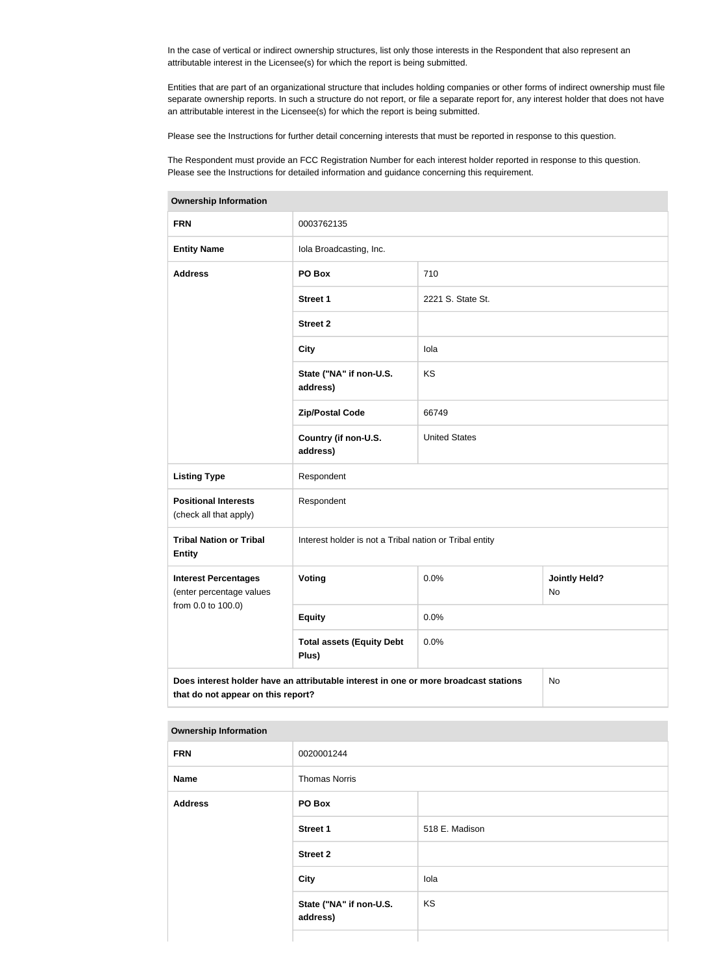In the case of vertical or indirect ownership structures, list only those interests in the Respondent that also represent an attributable interest in the Licensee(s) for which the report is being submitted.

Entities that are part of an organizational structure that includes holding companies or other forms of indirect ownership must file separate ownership reports. In such a structure do not report, or file a separate report for, any interest holder that does not have an attributable interest in the Licensee(s) for which the report is being submitted.

Please see the Instructions for further detail concerning interests that must be reported in response to this question.

The Respondent must provide an FCC Registration Number for each interest holder reported in response to this question. Please see the Instructions for detailed information and guidance concerning this requirement.

| <b>Ownership Information</b>                                                                                                     |                                                         |                      |                            |  |
|----------------------------------------------------------------------------------------------------------------------------------|---------------------------------------------------------|----------------------|----------------------------|--|
| <b>FRN</b>                                                                                                                       | 0003762135                                              |                      |                            |  |
| <b>Entity Name</b>                                                                                                               | Iola Broadcasting, Inc.                                 |                      |                            |  |
| <b>Address</b>                                                                                                                   | PO Box                                                  | 710                  |                            |  |
|                                                                                                                                  | <b>Street 1</b>                                         | 2221 S. State St.    |                            |  |
|                                                                                                                                  | <b>Street 2</b>                                         |                      |                            |  |
|                                                                                                                                  | <b>City</b>                                             | lola                 |                            |  |
|                                                                                                                                  | State ("NA" if non-U.S.<br>address)                     | KS                   |                            |  |
|                                                                                                                                  | <b>Zip/Postal Code</b>                                  | 66749                |                            |  |
|                                                                                                                                  | Country (if non-U.S.<br>address)                        | <b>United States</b> |                            |  |
| <b>Listing Type</b>                                                                                                              | Respondent                                              |                      |                            |  |
| <b>Positional Interests</b><br>(check all that apply)                                                                            | Respondent                                              |                      |                            |  |
| <b>Tribal Nation or Tribal</b><br><b>Entity</b>                                                                                  | Interest holder is not a Tribal nation or Tribal entity |                      |                            |  |
| <b>Interest Percentages</b><br>(enter percentage values                                                                          | Voting                                                  | 0.0%                 | <b>Jointly Held?</b><br>No |  |
| from 0.0 to 100.0)                                                                                                               | <b>Equity</b>                                           | 0.0%                 |                            |  |
|                                                                                                                                  | <b>Total assets (Equity Debt</b><br>Plus)               | 0.0%                 |                            |  |
| Does interest holder have an attributable interest in one or more broadcast stations<br>No<br>that do not appear on this report? |                                                         |                      |                            |  |

#### **Ownership Information**

| . .            |                                     |                |  |
|----------------|-------------------------------------|----------------|--|
| <b>FRN</b>     | 0020001244                          |                |  |
| <b>Name</b>    | <b>Thomas Norris</b>                |                |  |
| <b>Address</b> | PO Box                              |                |  |
|                | <b>Street 1</b>                     | 518 E. Madison |  |
|                | <b>Street 2</b>                     |                |  |
|                | City                                | lola           |  |
|                | State ("NA" if non-U.S.<br>address) | KS             |  |
|                |                                     |                |  |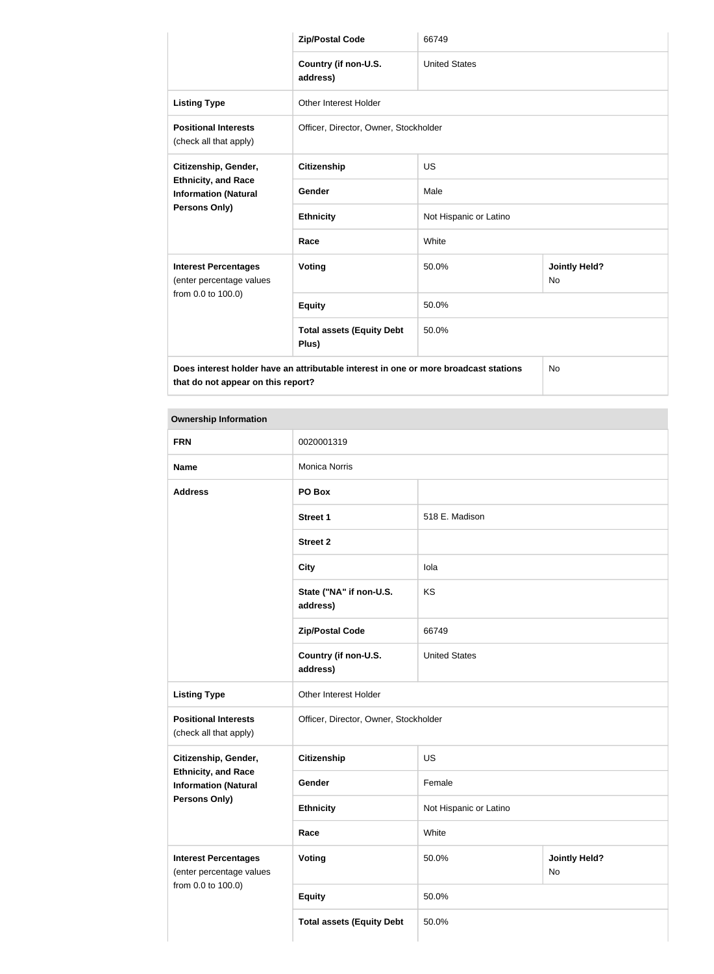|                                                                                                                            | <b>Zip/Postal Code</b>                    | 66749                  |                            |  |
|----------------------------------------------------------------------------------------------------------------------------|-------------------------------------------|------------------------|----------------------------|--|
|                                                                                                                            | Country (if non-U.S.<br>address)          | <b>United States</b>   |                            |  |
| <b>Listing Type</b>                                                                                                        | <b>Other Interest Holder</b>              |                        |                            |  |
| <b>Positional Interests</b><br>(check all that apply)                                                                      | Officer, Director, Owner, Stockholder     |                        |                            |  |
| Citizenship, Gender,                                                                                                       | <b>Citizenship</b>                        | <b>US</b>              |                            |  |
| <b>Ethnicity, and Race</b><br><b>Information (Natural</b>                                                                  | Gender                                    | Male                   |                            |  |
| Persons Only)                                                                                                              | <b>Ethnicity</b>                          | Not Hispanic or Latino |                            |  |
|                                                                                                                            | Race                                      | White                  |                            |  |
| <b>Interest Percentages</b><br>(enter percentage values                                                                    | Voting                                    | 50.0%                  | <b>Jointly Held?</b><br>No |  |
| from 0.0 to 100.0)                                                                                                         | <b>Equity</b>                             | 50.0%                  |                            |  |
|                                                                                                                            | <b>Total assets (Equity Debt</b><br>Plus) | 50.0%                  |                            |  |
| Does interest holder have an attributable interest in one or more broadcast stations<br>that do not appear on this report? |                                           |                        | <b>No</b>                  |  |

## **Ownership Information**

| <b>FRN</b>                                                                    | 0020001319                            |                        |                            |
|-------------------------------------------------------------------------------|---------------------------------------|------------------------|----------------------------|
| <b>Name</b>                                                                   | <b>Monica Norris</b>                  |                        |                            |
| <b>Address</b>                                                                | PO Box                                |                        |                            |
|                                                                               | <b>Street 1</b>                       | 518 E. Madison         |                            |
|                                                                               | <b>Street 2</b>                       |                        |                            |
|                                                                               | <b>City</b>                           | lola                   |                            |
|                                                                               | State ("NA" if non-U.S.<br>address)   | KS                     |                            |
|                                                                               | <b>Zip/Postal Code</b>                | 66749                  |                            |
|                                                                               | Country (if non-U.S.<br>address)      | <b>United States</b>   |                            |
| <b>Listing Type</b>                                                           | Other Interest Holder                 |                        |                            |
| <b>Positional Interests</b><br>(check all that apply)                         | Officer, Director, Owner, Stockholder |                        |                            |
| Citizenship, Gender,                                                          | <b>Citizenship</b>                    | <b>US</b>              |                            |
| <b>Ethnicity, and Race</b><br><b>Information (Natural</b>                     | Gender                                | Female                 |                            |
| Persons Only)                                                                 | <b>Ethnicity</b>                      | Not Hispanic or Latino |                            |
|                                                                               | Race                                  | White                  |                            |
| <b>Interest Percentages</b><br>(enter percentage values<br>from 0.0 to 100.0) | <b>Voting</b>                         | 50.0%                  | <b>Jointly Held?</b><br>No |
|                                                                               | <b>Equity</b>                         | 50.0%                  |                            |
|                                                                               | <b>Total assets (Equity Debt</b>      | 50.0%                  |                            |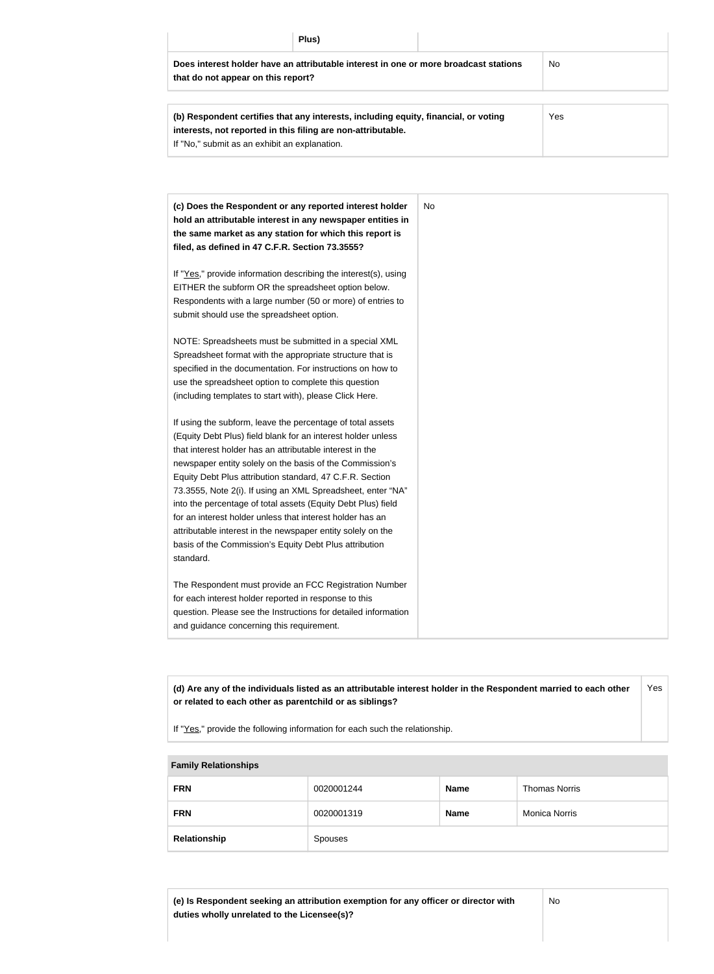| Plus)                                                                                                                                               |     |
|-----------------------------------------------------------------------------------------------------------------------------------------------------|-----|
| Does interest holder have an attributable interest in one or more broadcast stations<br>that do not appear on this report?                          | No  |
| (b) Respondent certifies that any interests, including equity, financial, or voting<br>interests, not reported in this filing are non-attributable. | Yes |

If "No," submit as an exhibit an explanation.

| (c) Does the Respondent or any reported interest holder<br>hold an attributable interest in any newspaper entities in<br>the same market as any station for which this report is<br>filed, as defined in 47 C.F.R. Section 73.3555?                                                                                                                                                                                                                                                                                                                                                                                                              | No |
|--------------------------------------------------------------------------------------------------------------------------------------------------------------------------------------------------------------------------------------------------------------------------------------------------------------------------------------------------------------------------------------------------------------------------------------------------------------------------------------------------------------------------------------------------------------------------------------------------------------------------------------------------|----|
| If "Yes," provide information describing the interest(s), using<br>EITHER the subform OR the spreadsheet option below.<br>Respondents with a large number (50 or more) of entries to<br>submit should use the spreadsheet option.                                                                                                                                                                                                                                                                                                                                                                                                                |    |
| NOTE: Spreadsheets must be submitted in a special XML<br>Spreadsheet format with the appropriate structure that is<br>specified in the documentation. For instructions on how to<br>use the spreadsheet option to complete this question<br>(including templates to start with), please Click Here.                                                                                                                                                                                                                                                                                                                                              |    |
| If using the subform, leave the percentage of total assets<br>(Equity Debt Plus) field blank for an interest holder unless<br>that interest holder has an attributable interest in the<br>newspaper entity solely on the basis of the Commission's<br>Equity Debt Plus attribution standard, 47 C.F.R. Section<br>73.3555, Note 2(i). If using an XML Spreadsheet, enter "NA"<br>into the percentage of total assets (Equity Debt Plus) field<br>for an interest holder unless that interest holder has an<br>attributable interest in the newspaper entity solely on the<br>basis of the Commission's Equity Debt Plus attribution<br>standard. |    |
| The Respondent must provide an FCC Registration Number<br>for each interest holder reported in response to this<br>question. Please see the Instructions for detailed information<br>and guidance concerning this requirement.                                                                                                                                                                                                                                                                                                                                                                                                                   |    |

**(d) Are any of the individuals listed as an attributable interest holder in the Respondent married to each other or related to each other as parentchild or as siblings?** Yes

If "Yes," provide the following information for each such the relationship.

# **Family Relationships**

| <b>FRN</b>   | 0020001244 | <b>Name</b> | <b>Thomas Norris</b> |
|--------------|------------|-------------|----------------------|
| <b>FRN</b>   | 0020001319 | <b>Name</b> | <b>Monica Norris</b> |
| Relationship | Spouses    |             |                      |

**(e) Is Respondent seeking an attribution exemption for any officer or director with duties wholly unrelated to the Licensee(s)?**